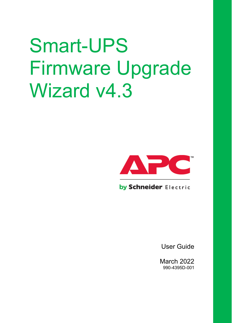# Smart-UPS Firmware Upgrade Wizard v4.3



by Schneider Electric

User Guide

March 2022 990-4395D-001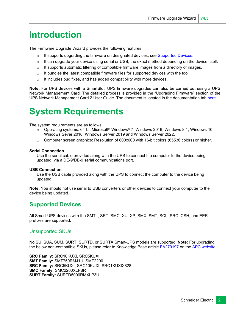#### **Introduction**

The Firmware Upgrade Wizard provides the following features:

- $\circ$  It supports upgrading the firmware on designated devices, see [Supported Devices.](#page-1-0)
- $\circ$  It can upgrade your device using serial or USB, the exact method depending on the device itself.
- $\circ$  It supports automatic filtering of compatible firmware images from a directory of images.
- $\circ$  It bundles the latest compatible firmware files for supported devices with the tool.
- $\circ$  It includes bug fixes, and has added compatibility with more devices.

**Note:** For UPS devices with a SmartSlot, UPS firmware upgrades can also be carried out using a UPS Network Management Card. The detailed process is provided in the "Upgrading Firmware" section of the UPS Network Management Card 2 User Guide. The document is located in the documentation tab [here.](http://www.apc.com/products/resource/include/techspec_index.cfm?base_sku=AP9630&tab=documentation)

#### **System Requirements**

The system requirements are as follows:

- o Operating systems: 64-bit Microsoft® Windows® 7, Windows 2016, Windows 8.1, Windows 10, Windows Sever 2016, Windows Server 2019 and Windows Server 2022.
- $\circ$  Computer screen graphics: Resolution of 800x600 with 16-bit colors (65536 colors) or higher.

#### **Serial Connection**

Use the serial cable provided along with the UPS to connect the computer to the device being updated, via a DE-9/DB-9 serial communications port.

#### **USB Connection**

Use the USB cable provided along with the UPS to connect the computer to the device being updated.

**Note:** You should not use serial to USB converters or other devices to connect your computer to the device being updated.

#### <span id="page-1-0"></span>**Supported Devices**

All Smart-UPS devices with the SMTL, SRT, SMC, XU, XP, SMX, SMT, SCL, SRC, CSH, and EER prefixes are supported.

#### Unsupported SKUs

No SU, SUA, SUM, SURT, SURTD, or SURTA Smart-UPS models are supported. **Note:** For upgrading the below non-compatible SKUs, please refer to Knowledge Base articl[e FA279197](https://www.apc.com/us/en/faqs/FA279197) on th[e APC website.](https://www.apc.com/us/en/faqs/)

**SRC Family:** SRC10KUXI, SRC5KUXI **SMT Family:** SMT750RMJ1U, SMT2200 **SRC Family:** SRC5KUXI, SRC10KUXI, SRC1KUXIX828 **SMC Family:** SMC2200XLI-BR **SURT Family:** SURTD5000RMXLP3U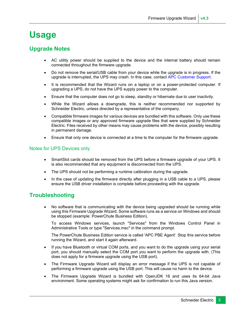#### **Usage**

#### **Upgrade Notes**

- AC utility power should be supplied to the device and the internal battery should remain connected throughout the firmware upgrade.
- Do not remove the serial/USB cable from your device while the upgrade is in progress. If the upgrade is interrupted, the UPS may crash. In this case, contact [APC Customer Support.](https://www.apc.com/us/en/support/index.jsp)
- It is recommended that the Wizard runs on a laptop or on a power-protected computer. If upgrading a UPS, do not have the UPS supply power to the computer.
- Ensure that the computer does not go to sleep, standby or hibernate due to user inactivity.
- While the Wizard allows a downgrade, this is neither recommended nor supported by Schneider Electric, unless directed by a representative of the company.
- Compatible firmware images for various devices are bundled with this software. Only use these compatible images or any approved firmware upgrade files that were supplied by Schneider Electric. Files received by other means may cause problems with the device, possibly resulting in permanent damage.
- Ensure that only one device is connected at a time to the computer for the firmware upgrade.

#### Notes for UPS Devices only

- SmartSlot cards should be removed from the UPS before a firmware upgrade of your UPS. It is also recommended that any equipment is disconnected from the UPS.
- The UPS should not be performing a runtime calibration during the upgrade.
- In the case of updating the firmware directly after plugging in a USB cable to a UPS, please ensure the USB driver installation is complete before proceeding with the upgrade.

#### **Troubleshooting**

• No software that is communicating with the device being upgraded should be running while using this Firmware Upgrade Wizard. Some software runs as a service on Windows and should be stopped (example: PowerChute Business Edition).

To access Windows services, launch "Services" from the Windows Control Panel in Administrative Tools or type "Services.msc" in the command prompt.

The PowerChute Business Edition service is called 'APC PBE Agent'. Stop this service before running the Wizard, and start it again afterward.

- If you have Bluetooth or virtual COM ports, and you want to do the upgrade using your serial port, you should manually select the COM port you want to perform the upgrade with. (This does not apply for a firmware upgrade using the USB port).
- The Firmware Upgrade Wizard will display an error message if the UPS is not capable of performing a firmware upgrade using the USB port. This will cause no harm to the device.
- The Firmware Upgrade Wizard is bundled with OpenJDK 16 and uses its 64-bit Java environment. Some operating systems might ask for confirmation to run this Java version.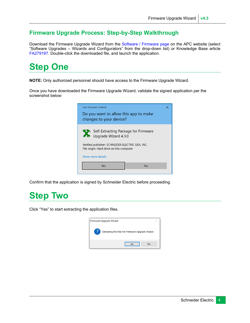#### **Firmware Upgrade Process: Step-by-Step Walkthrough**

Download the Firmware Upgrade Wizard from the [Software / Firmware page](https://www.apc.com/us/en/tools/download/index.cfm) on the APC website (select "Software Upgrades – Wizards and Configurators" from the drop-down list) or Knowledge Base article [FA279197.](https://www.apc.com/us/en/faqs/FA279197) Double-click the downloaded file, and launch the application.

# **Step One**

**NOTE:** Only authorized personnel should have access to the Firmware Upgrade Wizard.

Once you have downloaded the Firmware Upgrade Wizard, validate the signed application per the screenshot below:

| User Account Control<br>×                                                                    |    |  |  |
|----------------------------------------------------------------------------------------------|----|--|--|
| Do you want to allow this app to make<br>changes to your device?                             |    |  |  |
| Self-Extracting Package for Firmware<br>Upgrade Wizard 4.3.0                                 |    |  |  |
| Verified publisher: SCHNEIDER ELECTRIC USA, INC.<br>File origin: Hard drive on this computer |    |  |  |
| Show more details                                                                            |    |  |  |
| Yes                                                                                          | No |  |  |
|                                                                                              |    |  |  |

Confirm that the application is signed by Schneider Electric before proceeding.

### **Step Two**

Click "Yes" to start extracting the application files.

| Firmware Upgrade Wizard                          |  |
|--------------------------------------------------|--|
| Extracting the files for Firmware Upgrade Wizard |  |
| No<br><b>Yes</b>                                 |  |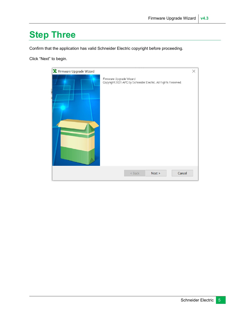### **Step Three**

Confirm that the application has valid Schneider Electric copyright before proceeding.

Click "Next" to begin.

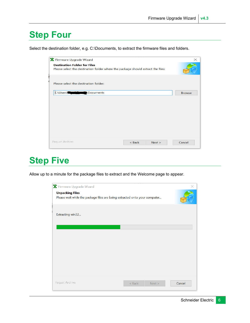#### **Step Four**

Select the destination folder, e.g. C:\Documents, to extract the firmware files and folders.

| <b>※</b> Firmware Upgrade Wizard                                                                                        | $\times$      |
|-------------------------------------------------------------------------------------------------------------------------|---------------|
| <b>Destination Folder for Files</b><br>Please select the destination folder where the package should extract the files: |               |
| Please select the destination folder:                                                                                   |               |
| C:\Users\<br>Documents                                                                                                  | <b>Browse</b> |
|                                                                                                                         |               |
|                                                                                                                         |               |
|                                                                                                                         |               |
|                                                                                                                         |               |
|                                                                                                                         |               |
| Paquet Archive<br>$<$ Back<br>Next >                                                                                    | Cancel        |

### **Step Five**

Allow up to a minute for the package files to extract and the Welcome page to appear.

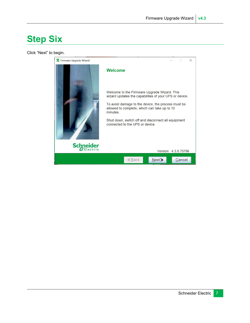### **Step Six**

Click "Next" to begin.

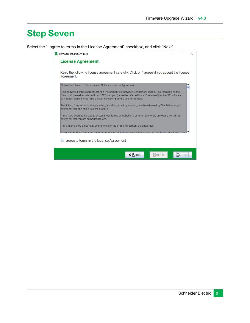### **Step Seven**

Select the "I agree to terms in the License Agreement" checkbox, and click "Next".

| Firmware Upgrade Wizard                                                                                                                                                                                                                                                                         |  |        | $\times$ |
|-------------------------------------------------------------------------------------------------------------------------------------------------------------------------------------------------------------------------------------------------------------------------------------------------|--|--------|----------|
| <b>License Agreement</b>                                                                                                                                                                                                                                                                        |  |        |          |
| Read the following license agreement carefully. Click on 'I agree' if you accept the license<br>agreement.                                                                                                                                                                                      |  |        |          |
| Schneider Electric IT Corporation - Software License Agreement                                                                                                                                                                                                                                  |  |        |          |
| This software license agreement (the "Agreement") is between Schneider Electric IT Corporation as the<br>"licensor" (hereafter referred to as "SE") and you (hereafter referred to as "Customer") for the SE software<br>(hereafter referred to as "The Software") accompanying this Agreement. |  |        |          |
| By clicking "I agree" or by downloading, installing, loading, copying, or otherwise using The Software, you<br>represent that one of the following is true:                                                                                                                                     |  |        |          |
| * You have been authorized to accept these terms on behalf of Customer (the entity on whose behalf you<br>represent that you are authorized to act).                                                                                                                                            |  |        |          |
| * You intend to be personally bound to the terms of this Agreement as Customer.                                                                                                                                                                                                                 |  |        |          |
| If you accept these terms as a representative of an entity on whose behalf you are authorized to act you may                                                                                                                                                                                    |  |        |          |
| □ agree to terms in the License Agreement                                                                                                                                                                                                                                                       |  |        |          |
| $\leq$ Back<br>Next =                                                                                                                                                                                                                                                                           |  | Cancel |          |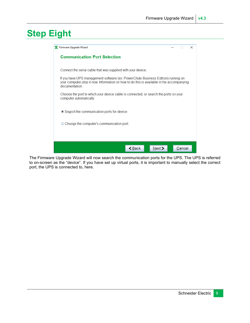# **Step Eight**

| Firmware Upgrade Wizard                                                                                                                                                                          |  |        | $\times$ |  |
|--------------------------------------------------------------------------------------------------------------------------------------------------------------------------------------------------|--|--------|----------|--|
| <b>Communication Port Selection</b>                                                                                                                                                              |  |        |          |  |
| Connect the serial cable that was supplied with your device.                                                                                                                                     |  |        |          |  |
| If you have UPS management software (ex: PowerChute Business Edition) running on<br>your computer, stop it now. Information on how to do this is available in the accompanying<br>documentation. |  |        |          |  |
| Choose the port to which your device cable is connected, or search the ports on your<br>computer automatically:                                                                                  |  |        |          |  |
| ● Search the communication ports for device                                                                                                                                                      |  |        |          |  |
| ○ Choose the computer's communication port                                                                                                                                                       |  |        |          |  |
|                                                                                                                                                                                                  |  |        |          |  |
|                                                                                                                                                                                                  |  |        |          |  |
| $\leq$ Back<br>Next                                                                                                                                                                              |  | Cancel |          |  |

The Firmware Upgrade Wizard will now search the communication ports for the UPS. The UPS is referred to on-screen as the "device". If you have set up virtual ports, it is important to manually select the correct port, the UPS is connected to, here.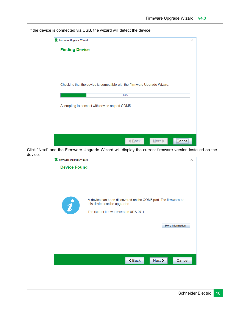If the device is connected via USB, the wizard will detect the device.



Click "Next" and the Firmware Upgrade Wizard will display the current firmware version installed on the device.

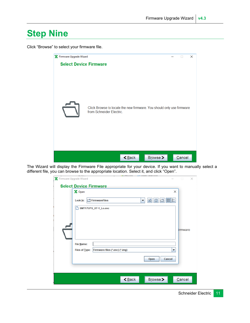### **Step Nine**

Click "Browse" to select your firmware file.



The Wizard will display the Firmware File appropriate for your device. If you want to manually select a different file, you can browse to the appropriate location. Select it, and click "Open".

| * Firmware Upgrade Wizard | <b>IFICATL LAUNT</b><br><b>Select Device Firmware</b>                            | $\times$<br>$\Box$                         |
|---------------------------|----------------------------------------------------------------------------------|--------------------------------------------|
| X Open<br>Look In:<br>n   | FirmwareFiles<br>ශ්<br>▼<br>SMT17UPS_07-1_Le.enc                                 | X<br>88 87<br><i><u><b>irmware</b></u></i> |
|                           | File Name:<br>Firmware files (*.enc) (*.img)<br>Files of Type:<br>Cancel<br>Open | ▼                                          |
|                           | $\leq$ Back<br>Browse >                                                          | Cancel                                     |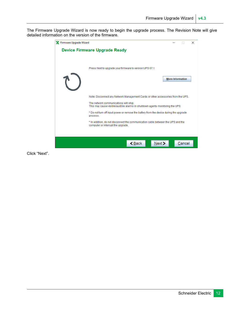The Firmware Upgrade Wizard is now ready to begin the upgrade process. The Revision Note will give detailed information on the version of the firmware.



Click "Next".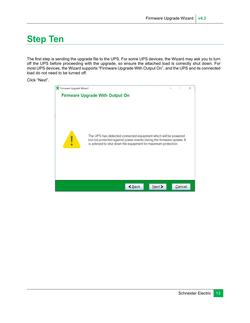# **Step Ten**

The first step is sending the upgrade file to the UPS. For some UPS devices, the Wizard may ask you to turn off the UPS before proceeding with the upgrade, so ensure the attached load is correctly shut down. For most UPS devices, the Wizard supports "Firmware Upgrade With Output On", and the UPS and its connected load do not need to be turned off.

Click "Next".

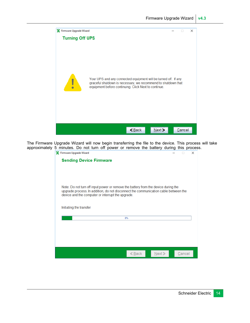

The Firmware Upgrade Wizard will now begin transferring the file to the device. This process will take approximately 5 minutes. Do not turn off power or remove the battery during this process.

| minatoo. Do not tank on power or romove the battery dailing<br>X Firmware Upgrade Wizard                                                                                                                                       |          |      |        | <br>$\times$ |
|--------------------------------------------------------------------------------------------------------------------------------------------------------------------------------------------------------------------------------|----------|------|--------|--------------|
| <b>Sending Device Firmware</b>                                                                                                                                                                                                 |          |      |        |              |
| Note: Do not turn off input power or remove the battery from the device during the<br>upgrade process. In addition, do not disconnect the communication cable between the<br>device and the computer or interrupt the upgrade. |          |      |        |              |
| Initiating the transfer                                                                                                                                                                                                        |          |      |        |              |
|                                                                                                                                                                                                                                | 8%       |      |        |              |
|                                                                                                                                                                                                                                |          |      |        |              |
|                                                                                                                                                                                                                                |          |      |        |              |
|                                                                                                                                                                                                                                |          |      |        |              |
|                                                                                                                                                                                                                                | $<$ Back | Next | Cancel |              |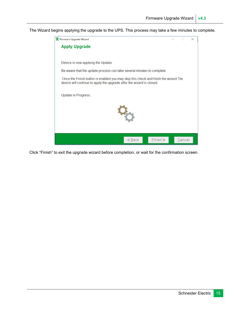The Wizard begins applying the upgrade to the UPS. This process may take a few minutes to complete.



Click "Finish" to exit the upgrade wizard before completion, or wait for the confirmation screen.